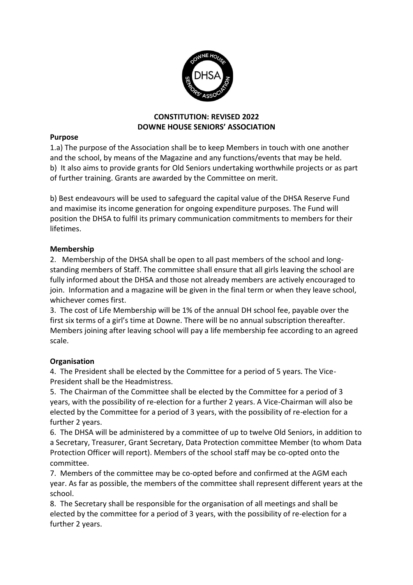

### **CONSTITUTION: REVISED 2022 DOWNE HOUSE SENIORS' ASSOCIATION**

### **Purpose**

1.a) The purpose of the Association shall be to keep Members in touch with one another and the school, by means of the Magazine and any functions/events that may be held. b) It also aims to provide grants for Old Seniors undertaking worthwhile projects or as part of further training. Grants are awarded by the Committee on merit.

b) Best endeavours will be used to safeguard the capital value of the DHSA Reserve Fund and maximise its income generation for ongoing expenditure purposes. The Fund will position the DHSA to fulfil its primary communication commitments to members for their lifetimes.

## **Membership**

2. Membership of the DHSA shall be open to all past members of the school and longstanding members of Staff. The committee shall ensure that all girls leaving the school are fully informed about the DHSA and those not already members are actively encouraged to join. Information and a magazine will be given in the final term or when they leave school, whichever comes first.

3. The cost of Life Membership will be 1% of the annual DH school fee, payable over the first six terms of a girl's time at Downe. There will be no annual subscription thereafter. Members joining after leaving school will pay a life membership fee according to an agreed scale.

# **Organisation**

4. The President shall be elected by the Committee for a period of 5 years. The Vice-President shall be the Headmistress.

5. The Chairman of the Committee shall be elected by the Committee for a period of 3 years, with the possibility of re-election for a further 2 years. A Vice-Chairman will also be elected by the Committee for a period of 3 years, with the possibility of re-election for a further 2 years.

6. The DHSA will be administered by a committee of up to twelve Old Seniors, in addition to a Secretary, Treasurer, Grant Secretary, Data Protection committee Member (to whom Data Protection Officer will report). Members of the school staff may be co-opted onto the committee.

7. Members of the committee may be co-opted before and confirmed at the AGM each year. As far as possible, the members of the committee shall represent different years at the school.

8. The Secretary shall be responsible for the organisation of all meetings and shall be elected by the committee for a period of 3 years, with the possibility of re-election for a further 2 years.